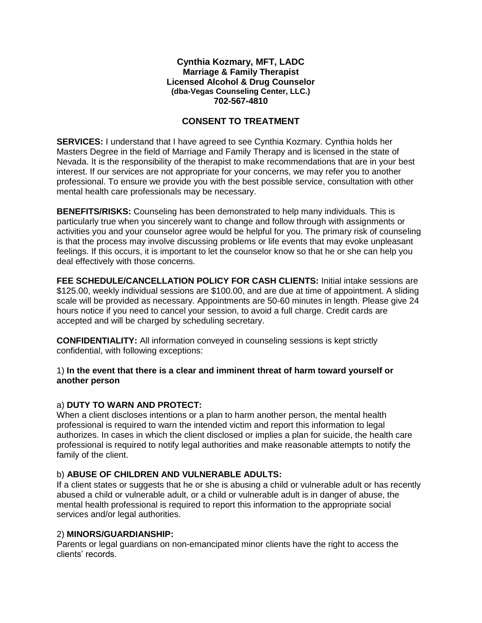#### **Cynthia Kozmary, MFT, LADC Marriage & Family Therapist Licensed Alcohol & Drug Counselor (dba-Vegas Counseling Center, LLC.) 702-567-4810**

## **CONSENT TO TREATMENT**

**SERVICES:** I understand that I have agreed to see Cynthia Kozmary. Cynthia holds her Masters Degree in the field of Marriage and Family Therapy and is licensed in the state of Nevada. It is the responsibility of the therapist to make recommendations that are in your best interest. If our services are not appropriate for your concerns, we may refer you to another professional. To ensure we provide you with the best possible service, consultation with other mental health care professionals may be necessary.

**BENEFITS/RISKS:** Counseling has been demonstrated to help many individuals. This is particularly true when you sincerely want to change and follow through with assignments or activities you and your counselor agree would be helpful for you. The primary risk of counseling is that the process may involve discussing problems or life events that may evoke unpleasant feelings. If this occurs, it is important to let the counselor know so that he or she can help you deal effectively with those concerns.

**FEE SCHEDULE/CANCELLATION POLICY FOR CASH CLIENTS:** Initial intake sessions are \$125.00, weekly individual sessions are \$100.00, and are due at time of appointment. A sliding scale will be provided as necessary. Appointments are 50-60 minutes in length. Please give 24 hours notice if you need to cancel your session, to avoid a full charge. Credit cards are accepted and will be charged by scheduling secretary.

**CONFIDENTIALITY:** All information conveyed in counseling sessions is kept strictly confidential, with following exceptions:

## 1) **In the event that there is a clear and imminent threat of harm toward yourself or another person**

## a) **DUTY TO WARN AND PROTECT:**

When a client discloses intentions or a plan to harm another person, the mental health professional is required to warn the intended victim and report this information to legal authorizes. In cases in which the client disclosed or implies a plan for suicide, the health care professional is required to notify legal authorities and make reasonable attempts to notify the family of the client.

## b) **ABUSE OF CHILDREN AND VULNERABLE ADULTS:**

If a client states or suggests that he or she is abusing a child or vulnerable adult or has recently abused a child or vulnerable adult, or a child or vulnerable adult is in danger of abuse, the mental health professional is required to report this information to the appropriate social services and/or legal authorities.

## 2) **MINORS/GUARDIANSHIP:**

Parents or legal guardians on non-emancipated minor clients have the right to access the clients' records.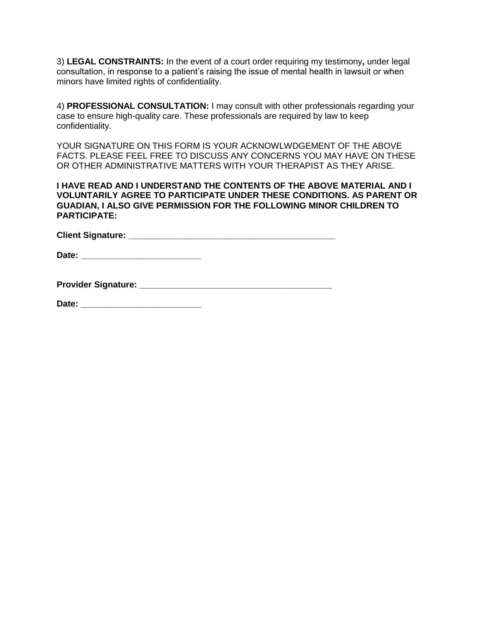3) **LEGAL CONSTRAINTS:** In the event of a court order requiring my testimony**,** under legal consultation, in response to a patient's raising the issue of mental health in lawsuit or when minors have limited rights of confidentiality.

4) **PROFESSIONAL CONSULTATION:** I may consult with other professionals regarding your case to ensure high-quality care. These professionals are required by law to keep confidentiality.

YOUR SIGNATURE ON THIS FORM IS YOUR ACKNOWLWDGEMENT OF THE ABOVE FACTS. PLEASE FEEL FREE TO DISCUSS ANY CONCERNS YOU MAY HAVE ON THESE OR OTHER ADMINISTRATIVE MATTERS WITH YOUR THERAPIST AS THEY ARISE.

**I HAVE READ AND I UNDERSTAND THE CONTENTS OF THE ABOVE MATERIAL AND I VOLUNTARILY AGREE TO PARTICIPATE UNDER THESE CONDITIONS. AS PARENT OR GUADIAN, I ALSO GIVE PERMISSION FOR THE FOLLOWING MINOR CHILDREN TO PARTICIPATE:** 

**Client Signature: \_\_\_\_\_\_\_\_\_\_\_\_\_\_\_\_\_\_\_\_\_\_\_\_\_\_\_\_\_\_\_\_\_\_\_\_\_\_\_\_\_\_\_** 

**Date:**  $\blacksquare$ 

**Provider Signature: \_\_\_\_\_\_\_\_\_\_\_\_\_\_\_\_\_\_\_\_\_\_\_\_\_\_\_\_\_\_\_\_\_\_\_\_\_\_\_\_** 

**Date: \_\_\_\_\_\_\_\_\_\_\_\_\_\_\_\_\_\_\_\_\_\_\_\_\_**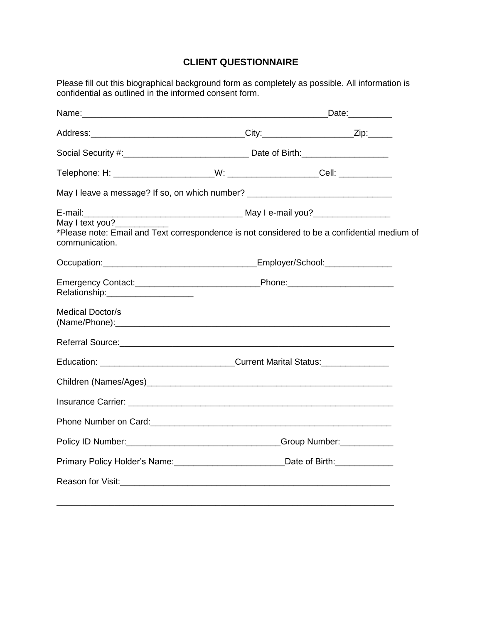# **CLIENT QUESTIONNAIRE**

Please fill out this biographical background form as completely as possible. All information is confidential as outlined in the informed consent form.

| Address:__________________________________City:_________________________Zip:_____                                                                                                                                                 |                                                                                  |  |
|-----------------------------------------------------------------------------------------------------------------------------------------------------------------------------------------------------------------------------------|----------------------------------------------------------------------------------|--|
|                                                                                                                                                                                                                                   |                                                                                  |  |
|                                                                                                                                                                                                                                   |                                                                                  |  |
| May I leave a message? If so, on which number? _________________________________                                                                                                                                                  |                                                                                  |  |
|                                                                                                                                                                                                                                   |                                                                                  |  |
| May I text you?<br>*Please note: Email and Text correspondence is not considered to be a confidential medium of<br>communication.                                                                                                 |                                                                                  |  |
|                                                                                                                                                                                                                                   |                                                                                  |  |
| Relationship:_____________________                                                                                                                                                                                                |                                                                                  |  |
| <b>Medical Doctor/s</b>                                                                                                                                                                                                           |                                                                                  |  |
| Referral Source: <u>Commission Commission Commission Commission Commission Commission Commission Commission</u>                                                                                                                   |                                                                                  |  |
| Education: ___________________________________Current Marital Status:___________                                                                                                                                                  |                                                                                  |  |
|                                                                                                                                                                                                                                   |                                                                                  |  |
| Insurance Carrier: <b>Example 2018 Contract Carriers</b> and Contract Contract Contract Contract Contract Contract Contract Contract Contract Contract Contract Contract Contract Contract Contract Contract Contract Contract Co |                                                                                  |  |
|                                                                                                                                                                                                                                   |                                                                                  |  |
|                                                                                                                                                                                                                                   | Policy ID Number: ________________________________Group Number: ________________ |  |
| Primary Policy Holder's Name: ____________________________Date of Birth: ________                                                                                                                                                 |                                                                                  |  |
|                                                                                                                                                                                                                                   |                                                                                  |  |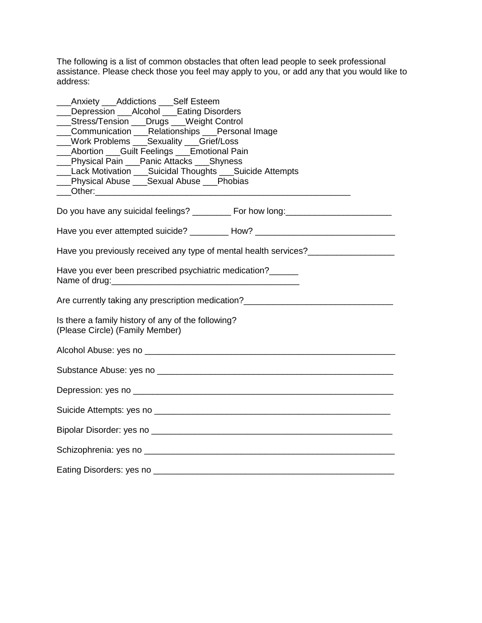The following is a list of common obstacles that often lead people to seek professional assistance. Please check those you feel may apply to you, or add any that you would like to address:

| Anxiety ___Addictions ___Self Esteem<br>Depression ___Alcohol ___Eating Disorders<br>Stress/Tension ___Drugs ___Weight Control<br>Communication ___Relationships ___Personal Image<br>Work Problems ___Sexuality ___Grief/Loss<br>Abortion Cuilt Feelings Chrotional Pain<br>Physical Pain ___Panic Attacks ___Shyness<br>Lack Motivation ___Suicidal Thoughts ___Suicide Attempts |  |  |
|------------------------------------------------------------------------------------------------------------------------------------------------------------------------------------------------------------------------------------------------------------------------------------------------------------------------------------------------------------------------------------|--|--|
| Physical Abuse ___Sexual Abuse ___Phobias<br>____Other:______________________________                                                                                                                                                                                                                                                                                              |  |  |
| Do you have any suicidal feelings? _________ For how long: _____________________                                                                                                                                                                                                                                                                                                   |  |  |
| Have you ever attempted suicide? _________ How? ________________________________                                                                                                                                                                                                                                                                                                   |  |  |
|                                                                                                                                                                                                                                                                                                                                                                                    |  |  |
| Have you ever been prescribed psychiatric medication?                                                                                                                                                                                                                                                                                                                              |  |  |
|                                                                                                                                                                                                                                                                                                                                                                                    |  |  |
| Is there a family history of any of the following?<br>(Please Circle) (Family Member)                                                                                                                                                                                                                                                                                              |  |  |
|                                                                                                                                                                                                                                                                                                                                                                                    |  |  |
|                                                                                                                                                                                                                                                                                                                                                                                    |  |  |
|                                                                                                                                                                                                                                                                                                                                                                                    |  |  |
|                                                                                                                                                                                                                                                                                                                                                                                    |  |  |
|                                                                                                                                                                                                                                                                                                                                                                                    |  |  |
|                                                                                                                                                                                                                                                                                                                                                                                    |  |  |
|                                                                                                                                                                                                                                                                                                                                                                                    |  |  |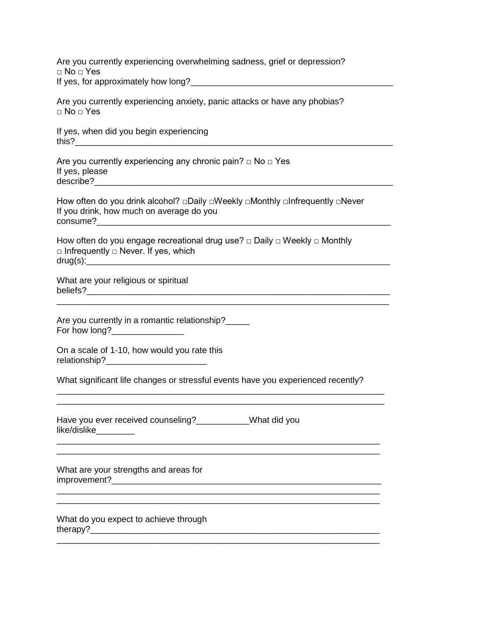Are you currently experiencing overwhelming sadness, grief or depression? □ No □ Yes If yes, for approximately how long?

Are you currently experiencing anxiety, panic attacks or have any phobias? □ No □ Yes

If yes, when did you begin experiencing this?\_\_\_\_\_\_\_\_\_\_\_\_\_\_\_\_\_\_\_\_\_\_\_\_\_\_\_\_\_\_\_\_\_\_\_\_\_\_\_\_\_\_\_\_\_\_\_\_\_\_\_\_\_\_\_\_\_\_\_\_\_\_\_\_\_\_

| Are you currently experiencing any chronic pain? $\Box$ No $\Box$ Yes |  |
|-----------------------------------------------------------------------|--|
| If yes, please                                                        |  |
| describe?                                                             |  |

How often do you drink alcohol? □Daily □Weekly □Monthly □Infrequently □Never If you drink, how much on average do you consume?\_\_\_\_\_\_\_\_\_\_\_\_\_\_\_\_\_\_\_\_\_\_\_\_\_\_\_\_\_\_\_\_\_\_\_\_\_\_\_\_\_\_\_\_\_\_\_\_\_\_\_\_\_\_\_\_\_\_\_\_\_

How often do you engage recreational drug use?  $\Box$  Daily  $\Box$  Weekly  $\Box$  Monthly □ Infrequently □ Never. If yes, which drug(s):\_\_\_\_\_\_\_\_\_\_\_\_\_\_\_\_\_\_\_\_\_\_\_\_\_\_\_\_\_\_\_\_\_\_\_\_\_\_\_\_\_\_\_\_\_\_\_\_\_\_\_\_\_\_\_\_\_\_\_\_\_\_\_

\_\_\_\_\_\_\_\_\_\_\_\_\_\_\_\_\_\_\_\_\_\_\_\_\_\_\_\_\_\_\_\_\_\_\_\_\_\_\_\_\_\_\_\_\_\_\_\_\_\_\_\_\_\_\_\_\_\_\_\_\_\_\_\_\_\_\_\_\_

What are your religious or spiritual beliefs?\_\_\_\_\_\_\_\_\_\_\_\_\_\_\_\_\_\_\_\_\_\_\_\_\_\_\_\_\_\_\_\_\_\_\_\_\_\_\_\_\_\_\_\_\_\_\_\_\_\_\_\_\_\_\_\_\_\_\_\_\_\_\_

Are you currently in a romantic relationship?\_\_\_\_\_ For how long?\_\_\_\_\_\_\_\_\_\_\_\_\_\_\_\_\_\_\_

On a scale of 1-10, how would you rate this relationship?\_\_\_\_\_\_\_\_\_\_\_\_\_\_\_\_\_\_\_\_\_

What significant life changes or stressful events have you experienced recently?

\_\_\_\_\_\_\_\_\_\_\_\_\_\_\_\_\_\_\_\_\_\_\_\_\_\_\_\_\_\_\_\_\_\_\_\_\_\_\_\_\_\_\_\_\_\_\_\_\_\_\_\_\_\_\_\_\_\_\_\_\_\_\_\_\_\_\_\_ \_\_\_\_\_\_\_\_\_\_\_\_\_\_\_\_\_\_\_\_\_\_\_\_\_\_\_\_\_\_\_\_\_\_\_\_\_\_\_\_\_\_\_\_\_\_\_\_\_\_\_\_\_\_\_\_\_\_\_\_\_\_\_\_\_\_\_\_

\_\_\_\_\_\_\_\_\_\_\_\_\_\_\_\_\_\_\_\_\_\_\_\_\_\_\_\_\_\_\_\_\_\_\_\_\_\_\_\_\_\_\_\_\_\_\_\_\_\_\_\_\_\_\_\_\_\_\_\_\_\_\_\_\_\_\_ \_\_\_\_\_\_\_\_\_\_\_\_\_\_\_\_\_\_\_\_\_\_\_\_\_\_\_\_\_\_\_\_\_\_\_\_\_\_\_\_\_\_\_\_\_\_\_\_\_\_\_\_\_\_\_\_\_\_\_\_\_\_\_\_\_\_\_

\_\_\_\_\_\_\_\_\_\_\_\_\_\_\_\_\_\_\_\_\_\_\_\_\_\_\_\_\_\_\_\_\_\_\_\_\_\_\_\_\_\_\_\_\_\_\_\_\_\_\_\_\_\_\_\_\_\_\_\_\_\_\_\_\_\_\_

 $\overline{\phantom{a}}$  ,  $\overline{\phantom{a}}$  ,  $\overline{\phantom{a}}$  ,  $\overline{\phantom{a}}$  ,  $\overline{\phantom{a}}$  ,  $\overline{\phantom{a}}$  ,  $\overline{\phantom{a}}$  ,  $\overline{\phantom{a}}$  ,  $\overline{\phantom{a}}$  ,  $\overline{\phantom{a}}$  ,  $\overline{\phantom{a}}$  ,  $\overline{\phantom{a}}$  ,  $\overline{\phantom{a}}$  ,  $\overline{\phantom{a}}$  ,  $\overline{\phantom{a}}$  ,  $\overline{\phantom{a}}$ 

| Have you ever received counseling? | What did you |
|------------------------------------|--------------|
| like/dislike                       |              |

What are your strengths and areas for improvement?\_\_\_\_\_\_\_\_\_\_\_\_\_\_\_\_\_\_\_\_\_\_\_\_\_\_\_\_\_\_\_\_\_\_\_\_\_\_\_\_\_\_\_\_\_\_\_\_\_\_\_\_\_\_\_\_

What do you expect to achieve through therapy?\_\_\_\_\_\_\_\_\_\_\_\_\_\_\_\_\_\_\_\_\_\_\_\_\_\_\_\_\_\_\_\_\_\_\_\_\_\_\_\_\_\_\_\_\_\_\_\_\_\_\_\_\_\_\_\_\_\_\_\_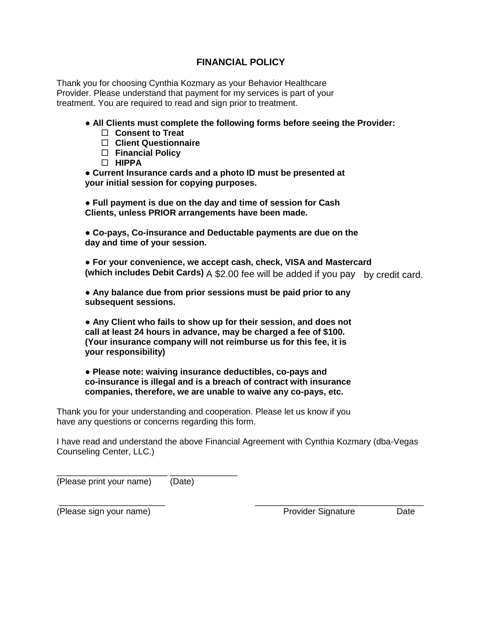## **FINANCIAL POLICY**

Thank you for choosing Cynthia Kozmary as your Behavior Healthcare Provider. Please understand that payment for my services is part of your treatment. You are required to read and sign prior to treatment.

- **All Clients must complete the following forms before seeing the Provider:**
	- **Consent to Treat**
	- **Client Questionnaire**
	- **Financial Policy**
	- **HIPPA**

● **Current Insurance cards and a photo ID must be presented at your initial session for copying purposes.**

● **Full payment is due on the day and time of session for Cash Clients, unless PRIOR arrangements have been made.**

● **Co-pays, Co-insurance and Deductable payments are due on the day and time of your session.**

● **For your convenience, we accept cash, check, VISA and Mastercard (which includes Debit Cards)** A \$2.00 fee will be added if you pay by credit card.

● **Any balance due from prior sessions must be paid prior to any subsequent sessions.**

● **Any Client who fails to show up for their session, and does not call at least 24 hours in advance, may be charged a fee of \$100. (Your insurance company will not reimburse us for this fee, it is your responsibility)**

● **Please note: waiving insurance deductibles, co-pays and co-insurance is illegal and is a breach of contract with insurance companies, therefore, we are unable to waive any co-pays, etc.**

Thank you for your understanding and cooperation. Please let us know if you have any questions or concerns regarding this form.

I have read and understand the above Financial Agreement with Cynthia Kozmary (dba-Vegas Counseling Center, LLC.)

\_\_\_\_\_\_\_\_\_\_\_\_\_\_\_\_\_\_\_\_\_\_ \_\_\_\_\_\_\_\_\_\_\_\_\_\_\_\_\_\_\_\_\_\_\_\_\_\_\_\_\_\_\_\_\_\_\_

(Please print your name) (Date)

\_\_\_\_\_\_\_\_\_\_\_\_\_\_\_\_\_\_\_\_\_\_\_ \_\_\_\_\_\_\_\_\_\_\_\_\_\_

(Please sign your name) Provider Signature Date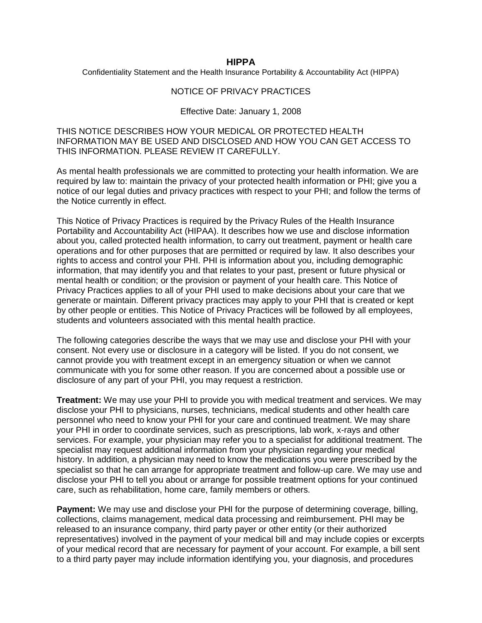#### **HIPPA**

Confidentiality Statement and the Health Insurance Portability & Accountability Act (HIPPA)

#### NOTICE OF PRIVACY PRACTICES

#### Effective Date: January 1, 2008

THIS NOTICE DESCRIBES HOW YOUR MEDICAL OR PROTECTED HEALTH INFORMATION MAY BE USED AND DISCLOSED AND HOW YOU CAN GET ACCESS TO THIS INFORMATION. PLEASE REVIEW IT CAREFULLY.

As mental health professionals we are committed to protecting your health information. We are required by law to: maintain the privacy of your protected health information or PHI; give you a notice of our legal duties and privacy practices with respect to your PHI; and follow the terms of the Notice currently in effect.

This Notice of Privacy Practices is required by the Privacy Rules of the Health Insurance Portability and Accountability Act (HIPAA). It describes how we use and disclose information about you, called protected health information, to carry out treatment, payment or health care operations and for other purposes that are permitted or required by law. It also describes your rights to access and control your PHI. PHI is information about you, including demographic information, that may identify you and that relates to your past, present or future physical or mental health or condition; or the provision or payment of your health care. This Notice of Privacy Practices applies to all of your PHI used to make decisions about your care that we generate or maintain. Different privacy practices may apply to your PHI that is created or kept by other people or entities. This Notice of Privacy Practices will be followed by all employees, students and volunteers associated with this mental health practice.

The following categories describe the ways that we may use and disclose your PHI with your consent. Not every use or disclosure in a category will be listed. If you do not consent, we cannot provide you with treatment except in an emergency situation or when we cannot communicate with you for some other reason. If you are concerned about a possible use or disclosure of any part of your PHI, you may request a restriction.

**Treatment:** We may use your PHI to provide you with medical treatment and services. We may disclose your PHI to physicians, nurses, technicians, medical students and other health care personnel who need to know your PHI for your care and continued treatment. We may share your PHI in order to coordinate services, such as prescriptions, lab work, x-rays and other services. For example, your physician may refer you to a specialist for additional treatment. The specialist may request additional information from your physician regarding your medical history. In addition, a physician may need to know the medications you were prescribed by the specialist so that he can arrange for appropriate treatment and follow-up care. We may use and disclose your PHI to tell you about or arrange for possible treatment options for your continued care, such as rehabilitation, home care, family members or others.

**Payment:** We may use and disclose your PHI for the purpose of determining coverage, billing, collections, claims management, medical data processing and reimbursement. PHI may be released to an insurance company, third party payer or other entity (or their authorized representatives) involved in the payment of your medical bill and may include copies or excerpts of your medical record that are necessary for payment of your account. For example, a bill sent to a third party payer may include information identifying you, your diagnosis, and procedures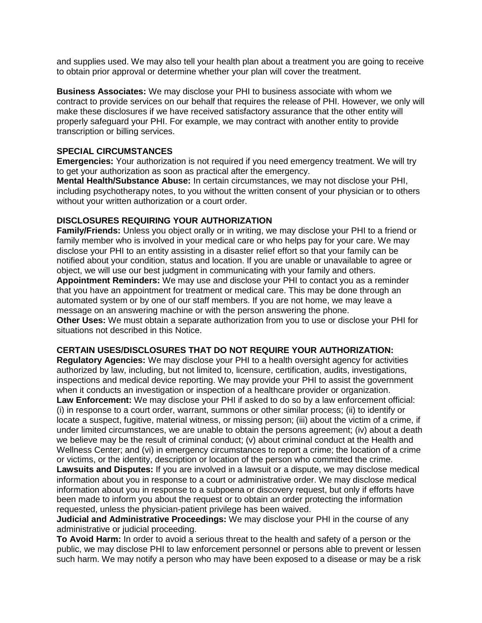and supplies used. We may also tell your health plan about a treatment you are going to receive to obtain prior approval or determine whether your plan will cover the treatment.

**Business Associates:** We may disclose your PHI to business associate with whom we contract to provide services on our behalf that requires the release of PHI. However, we only will make these disclosures if we have received satisfactory assurance that the other entity will properly safeguard your PHI. For example, we may contract with another entity to provide transcription or billing services.

## **SPECIAL CIRCUMSTANCES**

**Emergencies:** Your authorization is not required if you need emergency treatment. We will try to get your authorization as soon as practical after the emergency.

**Mental Health/Substance Abuse:** In certain circumstances, we may not disclose your PHI, including psychotherapy notes, to you without the written consent of your physician or to others without your written authorization or a court order.

## **DISCLOSURES REQUIRING YOUR AUTHORIZATION**

**Family/Friends:** Unless you object orally or in writing, we may disclose your PHI to a friend or family member who is involved in your medical care or who helps pay for your care. We may disclose your PHI to an entity assisting in a disaster relief effort so that your family can be notified about your condition, status and location. If you are unable or unavailable to agree or object, we will use our best judgment in communicating with your family and others. **Appointment Reminders:** We may use and disclose your PHI to contact you as a reminder that you have an appointment for treatment or medical care. This may be done through an automated system or by one of our staff members. If you are not home, we may leave a message on an answering machine or with the person answering the phone. **Other Uses:** We must obtain a separate authorization from you to use or disclose your PHI for situations not described in this Notice.

## **CERTAIN USES/DISCLOSURES THAT DO NOT REQUIRE YOUR AUTHORIZATION:**

**Regulatory Agencies:** We may disclose your PHI to a health oversight agency for activities authorized by law, including, but not limited to, licensure, certification, audits, investigations, inspections and medical device reporting. We may provide your PHI to assist the government when it conducts an investigation or inspection of a healthcare provider or organization.

**Law Enforcement:** We may disclose your PHI if asked to do so by a law enforcement official: (i) in response to a court order, warrant, summons or other similar process; (ii) to identify or locate a suspect, fugitive, material witness, or missing person; (iii) about the victim of a crime, if under limited circumstances, we are unable to obtain the persons agreement; (iv) about a death we believe may be the result of criminal conduct; (v) about criminal conduct at the Health and Wellness Center; and (vi) in emergency circumstances to report a crime; the location of a crime or victims, or the identity, description or location of the person who committed the crime.

**Lawsuits and Disputes:** If you are involved in a lawsuit or a dispute, we may disclose medical information about you in response to a court or administrative order. We may disclose medical information about you in response to a subpoena or discovery request, but only if efforts have been made to inform you about the request or to obtain an order protecting the information requested, unless the physician-patient privilege has been waived.

**Judicial and Administrative Proceedings:** We may disclose your PHI in the course of any administrative or judicial proceeding.

**To Avoid Harm:** In order to avoid a serious threat to the health and safety of a person or the public, we may disclose PHI to law enforcement personnel or persons able to prevent or lessen such harm. We may notify a person who may have been exposed to a disease or may be a risk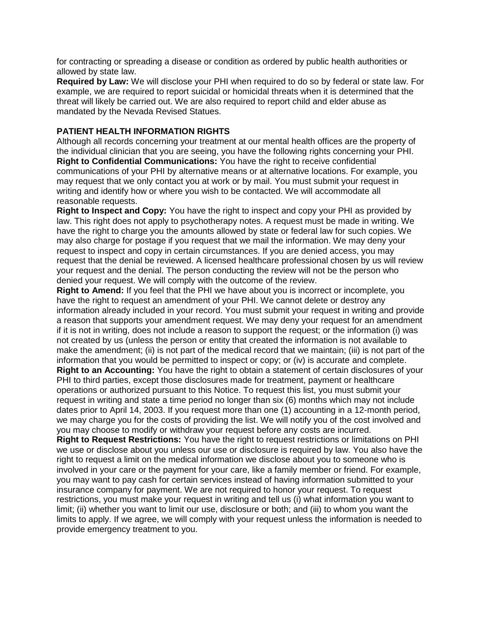for contracting or spreading a disease or condition as ordered by public health authorities or allowed by state law.

**Required by Law:** We will disclose your PHI when required to do so by federal or state law. For example, we are required to report suicidal or homicidal threats when it is determined that the threat will likely be carried out. We are also required to report child and elder abuse as mandated by the Nevada Revised Statues.

## **PATIENT HEALTH INFORMATION RIGHTS**

Although all records concerning your treatment at our mental health offices are the property of the individual clinician that you are seeing, you have the following rights concerning your PHI. **Right to Confidential Communications:** You have the right to receive confidential communications of your PHI by alternative means or at alternative locations. For example, you may request that we only contact you at work or by mail. You must submit your request in writing and identify how or where you wish to be contacted. We will accommodate all reasonable requests.

**Right to Inspect and Copy:** You have the right to inspect and copy your PHI as provided by law. This right does not apply to psychotherapy notes. A request must be made in writing. We have the right to charge you the amounts allowed by state or federal law for such copies. We may also charge for postage if you request that we mail the information. We may deny your request to inspect and copy in certain circumstances. If you are denied access, you may request that the denial be reviewed. A licensed healthcare professional chosen by us will review your request and the denial. The person conducting the review will not be the person who denied your request. We will comply with the outcome of the review.

**Right to Amend:** If you feel that the PHI we have about you is incorrect or incomplete, you have the right to request an amendment of your PHI. We cannot delete or destroy any information already included in your record. You must submit your request in writing and provide a reason that supports your amendment request. We may deny your request for an amendment if it is not in writing, does not include a reason to support the request; or the information (i) was not created by us (unless the person or entity that created the information is not available to make the amendment; (ii) is not part of the medical record that we maintain; (iii) is not part of the information that you would be permitted to inspect or copy; or (iv) is accurate and complete. **Right to an Accounting:** You have the right to obtain a statement of certain disclosures of your PHI to third parties, except those disclosures made for treatment, payment or healthcare operations or authorized pursuant to this Notice. To request this list, you must submit your request in writing and state a time period no longer than six (6) months which may not include dates prior to April 14, 2003. If you request more than one (1) accounting in a 12-month period, we may charge you for the costs of providing the list. We will notify you of the cost involved and you may choose to modify or withdraw your request before any costs are incurred.

**Right to Request Restrictions:** You have the right to request restrictions or limitations on PHI we use or disclose about you unless our use or disclosure is required by law. You also have the right to request a limit on the medical information we disclose about you to someone who is involved in your care or the payment for your care, like a family member or friend. For example, you may want to pay cash for certain services instead of having information submitted to your insurance company for payment. We are not required to honor your request. To request restrictions, you must make your request in writing and tell us (i) what information you want to limit; (ii) whether you want to limit our use, disclosure or both; and (iii) to whom you want the limits to apply. If we agree, we will comply with your request unless the information is needed to provide emergency treatment to you.